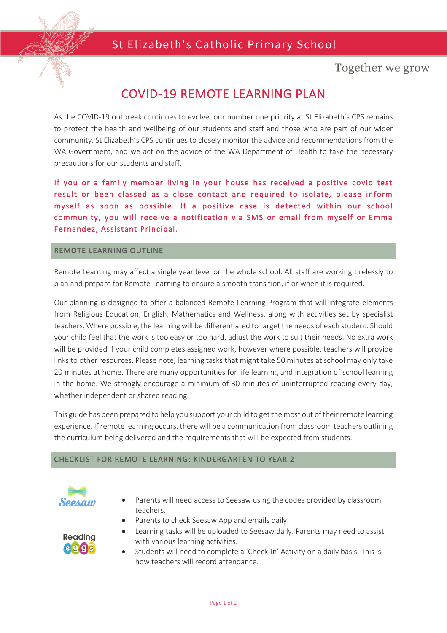## St Elizabeth's Catholic Primary School



Together we grow

# COVID-19 REMOTE LEARNING PLAN

As the COVID-19 outbreak continues to evolve, our number one priority at St Elizabeth's CPS remains to protect the health and wellbeing of our students and staff and those who are part of our wider community. St Elizabeth's CPS continues to closely monitor the advice and recommendations from the WA Government, and we act on the advice of the WA Department of Health to take the necessary precautions for our students and staff.

If you or a family member living in your house has received a positive covid test result or been classed as a close contact and required to isolate, please inform myself as soon as possible. If a positive case is detected within our school community, you will receive a notification via SMS or email from myself or Emma Fernandez, Assistant Principal.

#### REMOTE LEARNING OUTLINE

Remote Learning may affect a single year level or the whole school. All staff are working tirelessly to plan and prepare for Remote Learning to ensure a smooth transition, if or when it is required.

Our planning is designed to offer a balanced Remote Learning Program that will integrate elements from Religious Education, English, Mathematics and Wellness, along with activities set by specialist teachers. Where possible, the learning will be differentiated to target the needs of each student. Should your child feel that the work is too easy or too hard, adjust the work to suit their needs. No extra work will be provided if your child completes assigned work, however where possible, teachers will provide links to other resources. Please note, learning tasks that might take 50 minutes at school may only take 20 minutes at home. There are many opportunities for life learning and integration of school learning in the home. We strongly encourage a minimum of 30 minutes of uninterrupted reading every day, whether independent or shared reading.

This guide has been prepared to help you support your child to get the most out of their remote learning experience. If remote learning occurs, there will be a communication from classroom teachers outlining the curriculum being delivered and the requirements that will be expected from students.

#### CHECKLIST FOR REMOTE LEARNING: KINDERGARTEN TO YEAR 2



- Parents will need access to Seesaw using the codes provided by classroom teachers.
	- Parents to check Seesaw App and emails daily.



- Learning tasks will be uploaded to Seesaw daily. Parents may need to assist with various learning activities.
- Students will need to complete a 'Check-In' Activity on a daily basis. This is how teachers will record attendance.